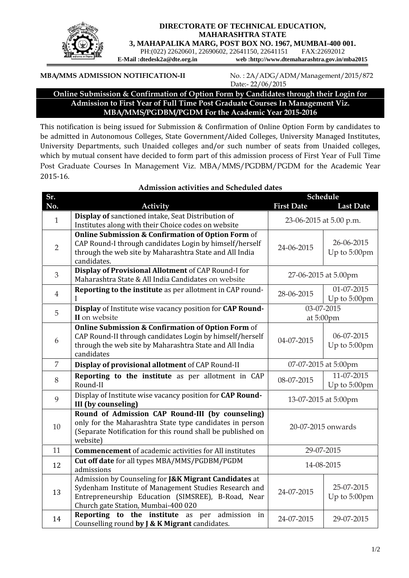

## **DIRECTORATE OF TECHNICAL EDUCATION, MAHARASHTRA STATE**

**3, MAHAPALIKA MARG, POST BOX NO. 1967, MUMBAI-400 001.**

PH:(022) 22620601, 22690602, 22641150, 22641151 FAX:22692012<br>E-Mail :dtedesk2a@dte.org.in web :http://www.dtemaharashtra.gov.in/n

web :http://www.dtemaharashtra.gov.in/mba2015

## **MBA/MMS ADMISSION NOTIFICATION-II** No. : 2A/ADG/ADM/Management/2015/872

Date:- 22/06/2015

## **Online Submission & Confirmation of Option Form by Candidates through their Login for Admission to First Year of Full Time Post Graduate Courses In Management Viz. MBA/MMS/PGDBM/PGDM For the Academic Year 2015-2016**

This notification is being issued for Submission & Confirmation of Online Option Form by candidates to be admitted in Autonomous Colleges, State Government/Aided Colleges, University Managed Institutes, University Departments, such Unaided colleges and/or such number of seats from Unaided colleges, which by mutual consent have decided to form part of this admission process of First Year of Full Time Post Graduate Courses In Management Viz. MBA/MMS/PGDBM/PGDM for the Academic Year 2015-16.

| Sr.            |                                                                                                                                                                                                             | <b>Schedule</b>         |                            |
|----------------|-------------------------------------------------------------------------------------------------------------------------------------------------------------------------------------------------------------|-------------------------|----------------------------|
| No.            | <b>Activity</b>                                                                                                                                                                                             | <b>First Date</b>       | <b>Last Date</b>           |
| $\mathbf{1}$   | Display of sanctioned intake, Seat Distribution of<br>Institutes along with their Choice codes on website                                                                                                   | 23-06-2015 at 5.00 p.m. |                            |
| $\overline{2}$ | <b>Online Submission &amp; Confirmation of Option Form of</b><br>CAP Round-I through candidates Login by himself/herself<br>through the web site by Maharashtra State and All India<br>candidates.          | 24-06-2015              | 26-06-2015<br>Up to 5:00pm |
| 3              | Display of Provisional Allotment of CAP Round-I for<br>Maharashtra State & All India Candidates on website                                                                                                  | 27-06-2015 at 5.00pm    |                            |
| $\overline{4}$ | Reporting to the institute as per allotment in CAP round-                                                                                                                                                   | 28-06-2015              | 01-07-2015<br>Up to 5:00pm |
| 5              | Display of Institute wise vacancy position for CAP Round-<br>II on website                                                                                                                                  | 03-07-2015<br>at 5:00pm |                            |
| 6              | <b>Online Submission &amp; Confirmation of Option Form of</b><br>CAP Round-II through candidates Login by himself/herself<br>through the web site by Maharashtra State and All India<br>candidates          | 04-07-2015              | 06-07-2015<br>Up to 5:00pm |
| 7              | Display of provisional allotment of CAP Round-II                                                                                                                                                            | 07-07-2015 at 5:00pm    |                            |
| 8              | Reporting to the institute as per allotment in CAP<br>Round-II                                                                                                                                              | 08-07-2015              | 11-07-2015<br>Up to 5:00pm |
| 9              | Display of Institute wise vacancy position for CAP Round-<br><b>III</b> (by counseling)                                                                                                                     | 13-07-2015 at 5:00pm    |                            |
| 10             | Round of Admission CAP Round-III (by counseling)<br>only for the Maharashtra State type candidates in person<br>(Separate Notification for this round shall be published on<br>website)                     | 20-07-2015 onwards      |                            |
| 11             | <b>Commencement</b> of academic activities for All institutes                                                                                                                                               | 29-07-2015              |                            |
| 12             | Cut off date for all types MBA/MMS/PGDBM/PGDM<br>admissions                                                                                                                                                 | 14-08-2015              |                            |
| 13             | Admission by Counseling for J&K Migrant Candidates at<br>Sydenham Institute of Management Studies Research and<br>Entrepreneurship Education (SIMSREE), B-Road, Near<br>Church gate Station, Mumbai-400 020 | 24-07-2015              | 25-07-2015<br>Up to 5:00pm |
| 14             | Reporting to the institute as per admission in<br>Counselling round by J & K Migrant candidates.                                                                                                            | 24-07-2015              | 29-07-2015                 |

#### **Admission activities and Scheduled dates**